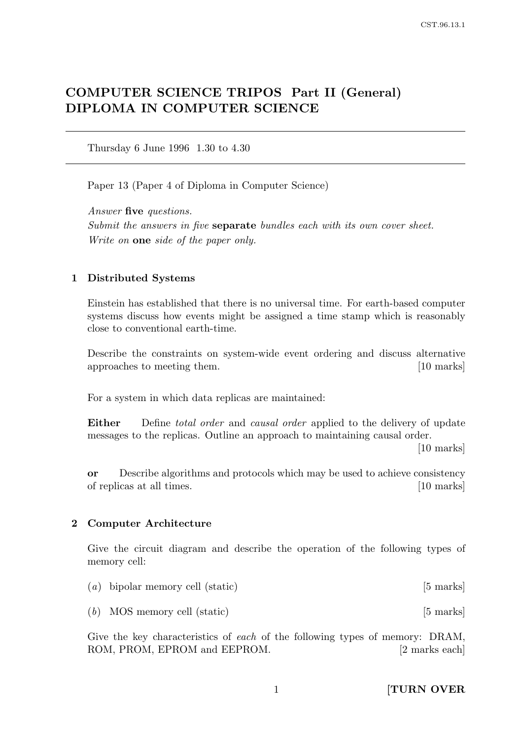# COMPUTER SCIENCE TRIPOS Part II (General) DIPLOMA IN COMPUTER SCIENCE

Thursday 6 June 1996 1.30 to 4.30

Paper 13 (Paper 4 of Diploma in Computer Science)

Answer five questions. Submit the answers in five **separate** bundles each with its own cover sheet. Write on **one** side of the paper only.

#### 1 Distributed Systems

Einstein has established that there is no universal time. For earth-based computer systems discuss how events might be assigned a time stamp which is reasonably close to conventional earth-time.

Describe the constraints on system-wide event ordering and discuss alternative approaches to meeting them. [10 marks]

For a system in which data replicas are maintained:

**Either** Define *total order* and *causal order* applied to the delivery of update messages to the replicas. Outline an approach to maintaining causal order.

[10 marks]

or Describe algorithms and protocols which may be used to achieve consistency of replicas at all times. [10 marks]

#### 2 Computer Architecture

Give the circuit diagram and describe the operation of the following types of memory cell:

| $(a)$ bipolar memory cell (static) | $[5 \text{ marks}]$ |
|------------------------------------|---------------------|
|------------------------------------|---------------------|

 $(b)$  MOS memory cell (static) [5 marks]

Give the key characteristics of each of the following types of memory: DRAM, ROM, PROM, EPROM and EEPROM. [2 marks each]

1 **[TURN OVER**]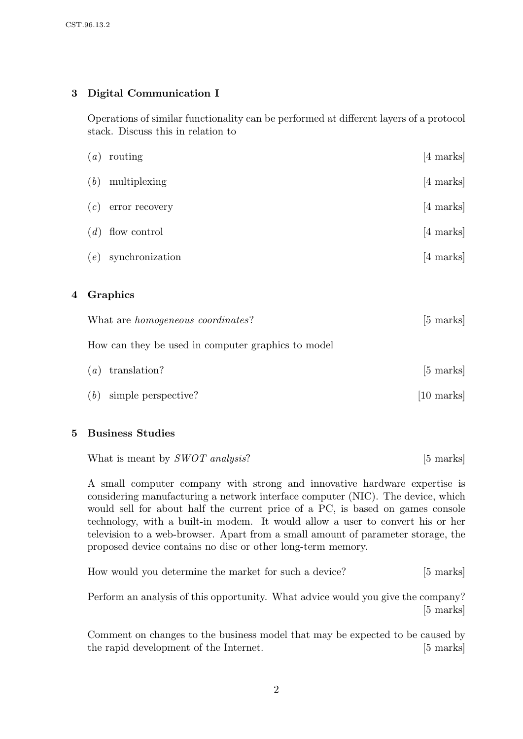# 3 Digital Communication I

Operations of similar functionality can be performed at different layers of a protocol stack. Discuss this in relation to

|   | What are <i>homogeneous</i> coordinates? | [5 marks]           |
|---|------------------------------------------|---------------------|
| 4 | Graphics                                 |                     |
|   | synchronization<br>(e)                   | $[4 \text{ marks}]$ |
|   | flow control<br>(d)                      | $[4 \text{ marks}]$ |
|   | error recovery<br>(c)                    | $[4 \text{ marks}]$ |
|   | (b)<br>multiplexing                      | $[4 \text{ marks}]$ |
|   | routing<br>$\left(a\right)$              | $[4 \text{ marks}]$ |

How can they be used in computer graphics to model

| $(a)$ translation?        | $[5 \text{ marks}]$  |
|---------------------------|----------------------|
| $(b)$ simple perspective? | $[10 \text{ marks}]$ |

### 5 Business Studies

What is meant by *SWOT analysis*? [5 marks]

A small computer company with strong and innovative hardware expertise is considering manufacturing a network interface computer (NIC). The device, which would sell for about half the current price of a PC, is based on games console technology, with a built-in modem. It would allow a user to convert his or her television to a web-browser. Apart from a small amount of parameter storage, the proposed device contains no disc or other long-term memory.

|  | How would you determine the market for such a device? |  |  | $[5 \text{ marks}]$ |  |
|--|-------------------------------------------------------|--|--|---------------------|--|
|  |                                                       |  |  |                     |  |

Perform an analysis of this opportunity. What advice would you give the company? [5 marks]

Comment on changes to the business model that may be expected to be caused by the rapid development of the Internet. [5 marks]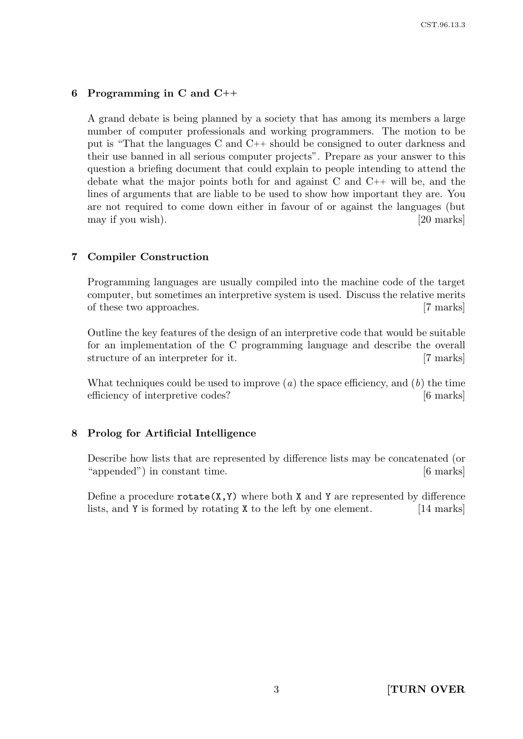#### 6 Programming in C and C++

A grand debate is being planned by a society that has among its members a large number of computer professionals and working programmers. The motion to be put is "That the languages C and C++ should be consigned to outer darkness and their use banned in all serious computer projects". Prepare as your answer to this question a briefing document that could explain to people intending to attend the debate what the major points both for and against C and C++ will be, and the lines of arguments that are liable to be used to show how important they are. You are not required to come down either in favour of or against the languages (but may if you wish). [20 marks]

#### 7 Compiler Construction

Programming languages are usually compiled into the machine code of the target computer, but sometimes an interpretive system is used. Discuss the relative merits of these two approaches. [7 marks]

Outline the key features of the design of an interpretive code that would be suitable for an implementation of the C programming language and describe the overall structure of an interpreter for it. [7 marks]

What techniques could be used to improve  $(a)$  the space efficiency, and  $(b)$  the time efficiency of interpretive codes? [6 marks]

#### 8 Prolog for Artificial Intelligence

Describe how lists that are represented by difference lists may be concatenated (or "appended") in constant time. [6 marks]

Define a procedure  $rotate(X, Y)$  where both X and Y are represented by difference lists, and Y is formed by rotating X to the left by one element. [14 marks]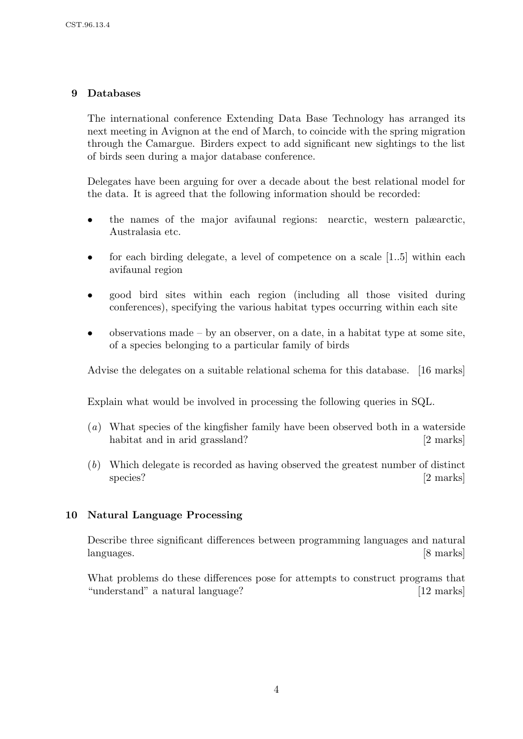# 9 Databases

The international conference Extending Data Base Technology has arranged its next meeting in Avignon at the end of March, to coincide with the spring migration through the Camargue. Birders expect to add significant new sightings to the list of birds seen during a major database conference.

Delegates have been arguing for over a decade about the best relational model for the data. It is agreed that the following information should be recorded:

- the names of the major avifaunal regions: nearctic, western palæarctic, Australasia etc.
- for each birding delegate, a level of competence on a scale [1..5] within each avifaunal region
- good bird sites within each region (including all those visited during conferences), specifying the various habitat types occurring within each site
- observations made by an observer, on a date, in a habitat type at some site, of a species belonging to a particular family of birds

Advise the delegates on a suitable relational schema for this database. [16 marks]

Explain what would be involved in processing the following queries in SQL.

- (a) What species of the kingfisher family have been observed both in a waterside habitat and in arid grassland? [2 marks]
- (b) Which delegate is recorded as having observed the greatest number of distinct species? [2 marks]

## 10 Natural Language Processing

Describe three significant differences between programming languages and natural languages. [8 marks]

What problems do these differences pose for attempts to construct programs that "understand" a natural language? [12 marks]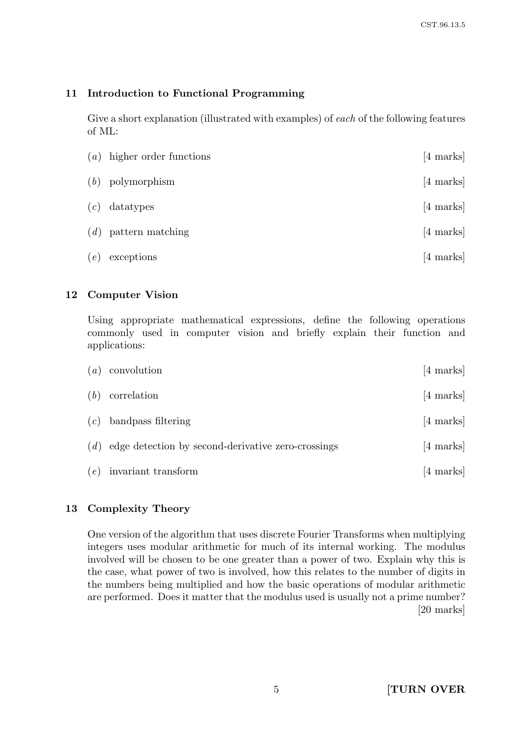# 11 Introduction to Functional Programming

Give a short explanation (illustrated with examples) of each of the following features of ML:

| (a) | higher order functions | $[4 \text{ marks}]$ |
|-----|------------------------|---------------------|
| (b) | polymorphism           | $[4 \text{ marks}]$ |
| (c) | datatypes              | $[4 \text{ marks}]$ |
|     | $(d)$ pattern matching | $[4 \text{ marks}]$ |
| (e) | exceptions             | $[4 \text{ marks}]$ |

### 12 Computer Vision

Using appropriate mathematical expressions, define the following operations commonly used in computer vision and briefly explain their function and applications:

| (a) | convolution                                        | $[4 \text{ marks}]$ |
|-----|----------------------------------------------------|---------------------|
| (b) | correlation                                        | $[4 \text{ marks}]$ |
| (c) | bandpass filtering                                 | $[4 \text{ marks}]$ |
| (d) | edge detection by second-derivative zero-crossings | $[4 \text{ marks}]$ |
| (e) | invariant transform                                | $[4 \text{ marks}]$ |

# 13 Complexity Theory

One version of the algorithm that uses discrete Fourier Transforms when multiplying integers uses modular arithmetic for much of its internal working. The modulus involved will be chosen to be one greater than a power of two. Explain why this is the case, what power of two is involved, how this relates to the number of digits in the numbers being multiplied and how the basic operations of modular arithmetic are performed. Does it matter that the modulus used is usually not a prime number? [20 marks]